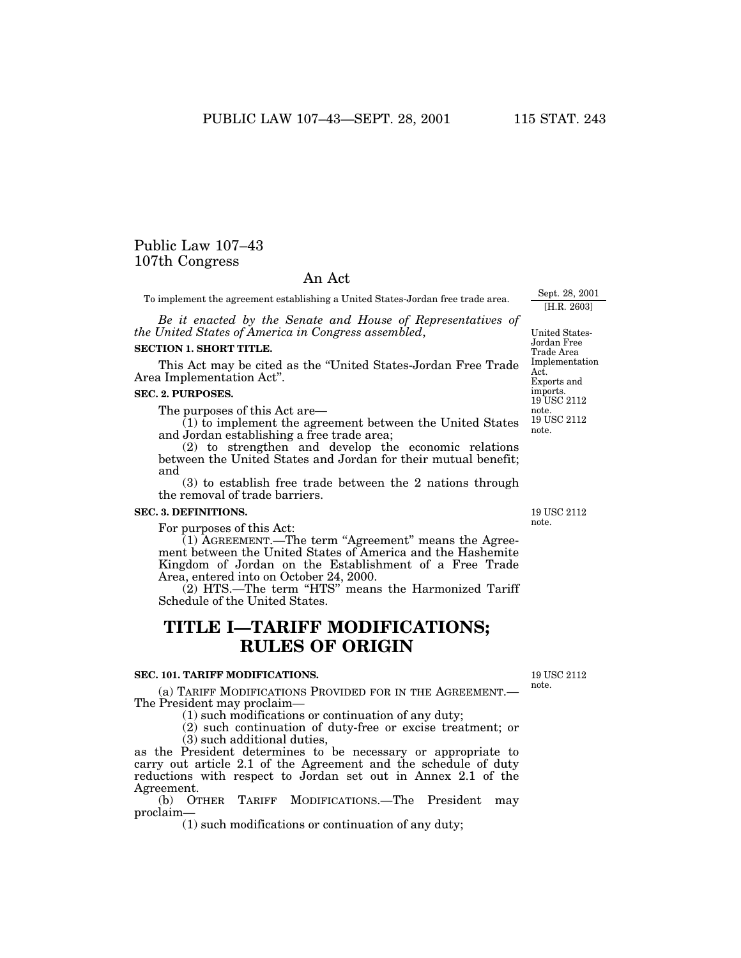# Public Law 107–43 107th Congress

## An Act

To implement the agreement establishing a United States-Jordan free trade area.

*Be it enacted by the Senate and House of Representatives of the United States of America in Congress assembled*,

#### **SECTION 1. SHORT TITLE.**

This Act may be cited as the ''United States-Jordan Free Trade Area Implementation Act''.

### **SEC. 2. PURPOSES.**

The purposes of this Act are—

 $(1)$  to implement the agreement between the United States and Jordan establishing a free trade area;

(2) to strengthen and develop the economic relations between the United States and Jordan for their mutual benefit; and

(3) to establish free trade between the 2 nations through the removal of trade barriers.

#### **SEC. 3. DEFINITIONS.**

For purposes of this Act:

(1) AGREEMENT.—The term "Agreement" means the Agreement between the United States of America and the Hashemite Kingdom of Jordan on the Establishment of a Free Trade Area, entered into on October 24, 2000.

 $(2)$  HTS.—The term "HTS" means the Harmonized Tariff Schedule of the United States.

# **TITLE I—TARIFF MODIFICATIONS; RULES OF ORIGIN**

### **SEC. 101. TARIFF MODIFICATIONS.**

(a) TARIFF MODIFICATIONS PROVIDED FOR IN THE AGREEMENT.— The President may proclaim—

(1) such modifications or continuation of any duty;

(2) such continuation of duty-free or excise treatment; or (3) such additional duties,

as the President determines to be necessary or appropriate to carry out article 2.1 of the Agreement and the schedule of duty reductions with respect to Jordan set out in Annex 2.1 of the Agreement.

(b) OTHER TARIFF MODIFICATIONS.—The President may proclaim—

(1) such modifications or continuation of any duty;

19 USC 2112 note.

United States-Jordan Free Trade Area Implementation Act. Exports and

Sept. 28, 2001 [H.R. 2603]

19 USC 2112 note. imports. 19 USC 2112 note.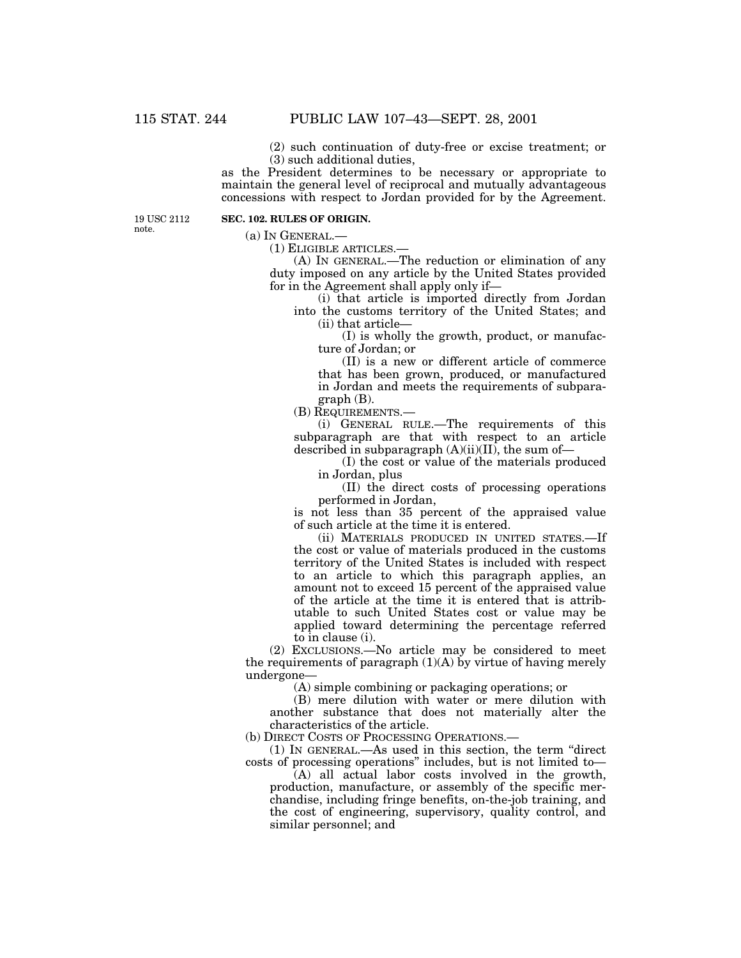(2) such continuation of duty-free or excise treatment; or (3) such additional duties,

as the President determines to be necessary or appropriate to maintain the general level of reciprocal and mutually advantageous concessions with respect to Jordan provided for by the Agreement.

19 USC 2112 note.

## **SEC. 102. RULES OF ORIGIN.**

(a) IN GENERAL.—

(1) ELIGIBLE ARTICLES.—

(A) IN GENERAL.—The reduction or elimination of any duty imposed on any article by the United States provided for in the Agreement shall apply only if—

(i) that article is imported directly from Jordan into the customs territory of the United States; and (ii) that article—

(I) is wholly the growth, product, or manufacture of Jordan; or

(II) is a new or different article of commerce that has been grown, produced, or manufactured in Jordan and meets the requirements of subparagraph (B).

(B) REQUIREMENTS.—

(i) GENERAL RULE.—The requirements of this subparagraph are that with respect to an article described in subparagraph  $(A)(ii)(II)$ , the sum of-

(I) the cost or value of the materials produced in Jordan, plus

(II) the direct costs of processing operations performed in Jordan,

is not less than 35 percent of the appraised value of such article at the time it is entered.

(ii) MATERIALS PRODUCED IN UNITED STATES.—If the cost or value of materials produced in the customs territory of the United States is included with respect to an article to which this paragraph applies, an amount not to exceed 15 percent of the appraised value of the article at the time it is entered that is attributable to such United States cost or value may be applied toward determining the percentage referred to in clause (i).

(2) EXCLUSIONS.—No article may be considered to meet the requirements of paragraph (1)(A) by virtue of having merely undergone—

(A) simple combining or packaging operations; or

(B) mere dilution with water or mere dilution with another substance that does not materially alter the characteristics of the article.

(b) DIRECT COSTS OF PROCESSING OPERATIONS.—

(1) IN GENERAL.—As used in this section, the term ''direct costs of processing operations'' includes, but is not limited to—

(A) all actual labor costs involved in the growth, production, manufacture, or assembly of the specific merchandise, including fringe benefits, on-the-job training, and the cost of engineering, supervisory, quality control, and similar personnel; and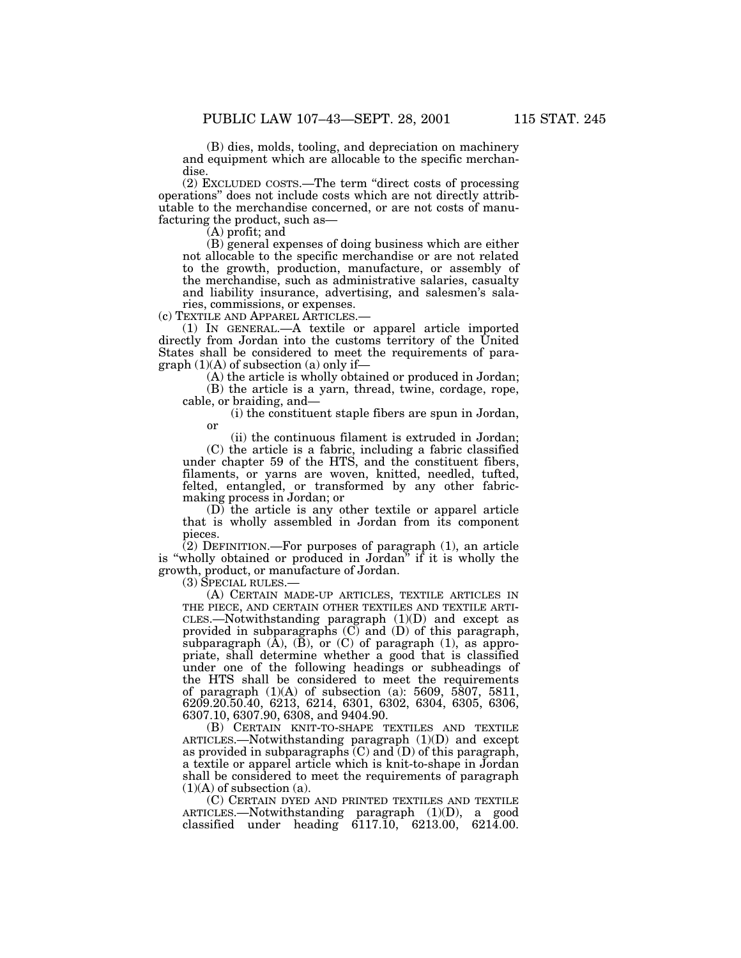(B) dies, molds, tooling, and depreciation on machinery and equipment which are allocable to the specific merchandise.

(2) EXCLUDED COSTS.—The term ''direct costs of processing operations'' does not include costs which are not directly attributable to the merchandise concerned, or are not costs of manufacturing the product, such as— (A) profit; and

(B) general expenses of doing business which are either not allocable to the specific merchandise or are not related to the growth, production, manufacture, or assembly of the merchandise, such as administrative salaries, casualty and liability insurance, advertising, and salesmen's salaries, commissions, or expenses.<br>(c) TEXTILE AND APPAREL ARTICLES.

 $(1)$  IN GENERAL.—A textile or apparel article imported directly from Jordan into the customs territory of the United States shall be considered to meet the requirements of paragraph  $(1)(A)$  of subsection (a) only if—

 $(A)$  the article is wholly obtained or produced in Jordan;

(B) the article is a yarn, thread, twine, cordage, rope, cable, or braiding, and— (i) the constituent staple fibers are spun in Jordan,

or

(ii) the continuous filament is extruded in Jordan; (C) the article is a fabric, including a fabric classified under chapter 59 of the HTS, and the constituent fibers, filaments, or yarns are woven, knitted, needled, tufted, felted, entangled, or transformed by any other fabricmaking process in Jordan; or

(D) the article is any other textile or apparel article that is wholly assembled in Jordan from its component pieces.

(2) DEFINITION.—For purposes of paragraph (1), an article is "wholly obtained or produced in Jordan" if it is wholly the growth, product, or manufacture of Jordan.

(3) SPECIAL RULES.—

(A) CERTAIN MADE-UP ARTICLES, TEXTILE ARTICLES IN THE PIECE, AND CERTAIN OTHER TEXTILES AND TEXTILE ARTI-CLES.—Notwithstanding paragraph (1)(D) and except as provided in subparagraphs (C) and (D) of this paragraph, subparagraph  $(\overline{A})$ ,  $(\overline{B})$ , or  $(C)$  of paragraph  $(1)$ , as appropriate, shall determine whether a good that is classified under one of the following headings or subheadings of the HTS shall be considered to meet the requirements of paragraph  $(1)(A)$  of subsection  $(a)$ : 5609, 5807, 5811, 6209.20.50.40, 6213, 6214, 6301, 6302, 6304, 6305, 6306, 6307.10, 6307.90, 6308, and 9404.90.

(B) CERTAIN KNIT-TO-SHAPE TEXTILES AND TEXTILE ARTICLES.—Notwithstanding paragraph (1)(D) and except as provided in subparagraphs  $(C)$  and  $(D)$  of this paragraph, a textile or apparel article which is knit-to-shape in Jordan shall be considered to meet the requirements of paragraph  $(1)(A)$  of subsection  $(a)$ .

(C) CERTAIN DYED AND PRINTED TEXTILES AND TEXTILE ARTICLES.—Notwithstanding paragraph (1)(D), a good classified under heading 6117.10, 6213.00, 6214.00.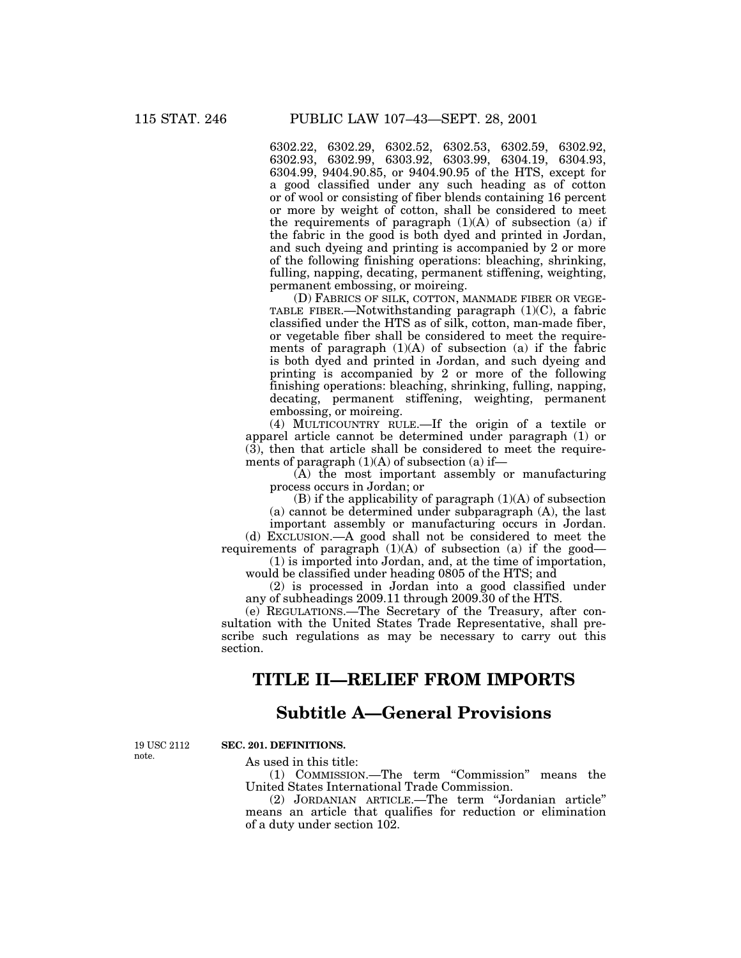6302.22, 6302.29, 6302.52, 6302.53, 6302.59, 6302.92, 6302.93, 6302.99, 6303.92, 6303.99, 6304.19, 6304.93, 6304.99, 9404.90.85, or 9404.90.95 of the HTS, except for a good classified under any such heading as of cotton or of wool or consisting of fiber blends containing 16 percent or more by weight of cotton, shall be considered to meet the requirements of paragraph  $(1)(A)$  of subsection  $(a)$  if the fabric in the good is both dyed and printed in Jordan, and such dyeing and printing is accompanied by 2 or more of the following finishing operations: bleaching, shrinking, fulling, napping, decating, permanent stiffening, weighting, permanent embossing, or moireing.

(D) FABRICS OF SILK, COTTON, MANMADE FIBER OR VEGE-TABLE FIBER.—Notwithstanding paragraph (1)(C), a fabric classified under the HTS as of silk, cotton, man-made fiber, or vegetable fiber shall be considered to meet the requirements of paragraph  $(1)(A)$  of subsection  $(a)$  if the fabric is both dyed and printed in Jordan, and such dyeing and printing is accompanied by 2 or more of the following finishing operations: bleaching, shrinking, fulling, napping, decating, permanent stiffening, weighting, permanent embossing, or moireing.

(4) MULTICOUNTRY RULE.—If the origin of a textile or apparel article cannot be determined under paragraph (1) or (3), then that article shall be considered to meet the requirements of paragraph  $(1)(A)$  of subsection  $(a)$  if—

(A) the most important assembly or manufacturing process occurs in Jordan; or

 $(B)$  if the applicability of paragraph  $(1)(A)$  of subsection (a) cannot be determined under subparagraph (A), the last

important assembly or manufacturing occurs in Jordan.

(d) EXCLUSION.—A good shall not be considered to meet the requirements of paragraph  $(1)(A)$  of subsection  $(a)$  if the good—

(1) is imported into Jordan, and, at the time of importation, would be classified under heading 0805 of the HTS; and

(2) is processed in Jordan into a good classified under any of subheadings 2009.11 through 2009.30 of the HTS.

(e) REGULATIONS.—The Secretary of the Treasury, after consultation with the United States Trade Representative, shall prescribe such regulations as may be necessary to carry out this section.

# **TITLE II—RELIEF FROM IMPORTS**

# **Subtitle A—General Provisions**

19 USC 2112 note.

# **SEC. 201. DEFINITIONS.**

As used in this title:

(1) COMMISSION.—The term ''Commission'' means the United States International Trade Commission.

(2) JORDANIAN ARTICLE.—The term ''Jordanian article'' means an article that qualifies for reduction or elimination of a duty under section 102.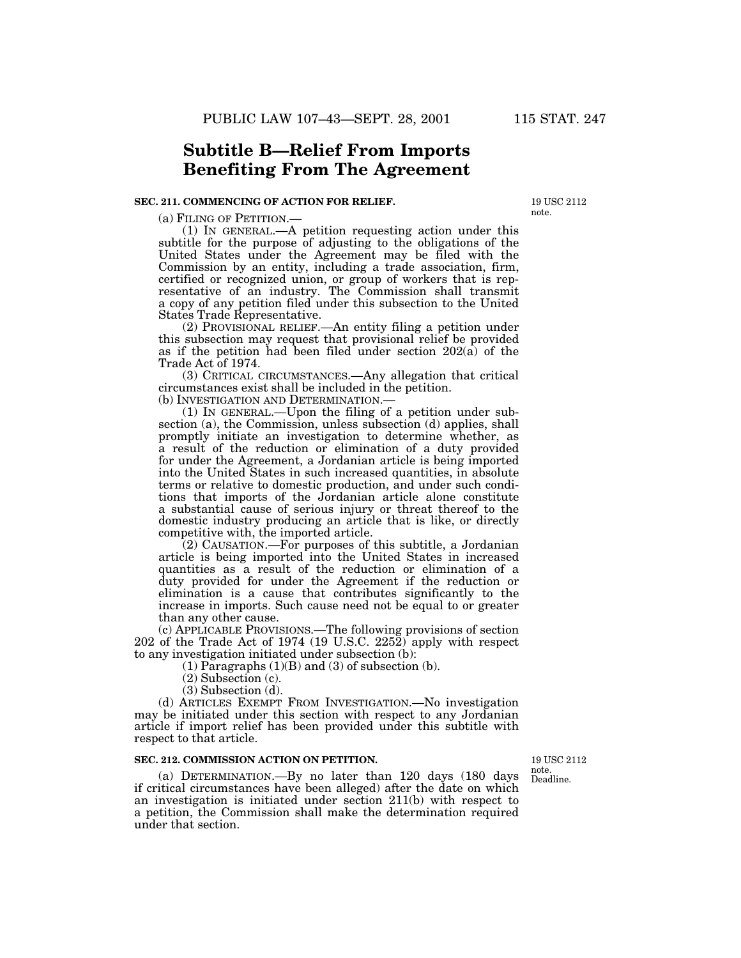# **Subtitle B—Relief From Imports Benefiting From The Agreement**

#### **SEC. 211. COMMENCING OF ACTION FOR RELIEF.**

(a) FILING OF PETITION.—<br>(1) IN GENERAL.—A petition requesting action under this subtitle for the purpose of adjusting to the obligations of the United States under the Agreement may be filed with the Commission by an entity, including a trade association, firm, certified or recognized union, or group of workers that is representative of an industry. The Commission shall transmit a copy of any petition filed under this subsection to the United States Trade Representative.

(2) PROVISIONAL RELIEF.—An entity filing a petition under this subsection may request that provisional relief be provided as if the petition had been filed under section  $202(\hat{a})$  of the Trade Act of 1974.

(3) CRITICAL CIRCUMSTANCES.—Any allegation that critical circumstances exist shall be included in the petition.

(b) INVESTIGATION AND DETERMINATION.—

(1) IN GENERAL.—Upon the filing of a petition under subsection (a), the Commission, unless subsection (d) applies, shall promptly initiate an investigation to determine whether, as a result of the reduction or elimination of a duty provided for under the Agreement, a Jordanian article is being imported into the United States in such increased quantities, in absolute terms or relative to domestic production, and under such conditions that imports of the Jordanian article alone constitute a substantial cause of serious injury or threat thereof to the domestic industry producing an article that is like, or directly competitive with, the imported article.

(2) CAUSATION.—For purposes of this subtitle, a Jordanian article is being imported into the United States in increased quantities as a result of the reduction or elimination of a duty provided for under the Agreement if the reduction or elimination is a cause that contributes significantly to the increase in imports. Such cause need not be equal to or greater than any other cause.

(c) APPLICABLE PROVISIONS.—The following provisions of section 202 of the Trade Act of 1974 (19 U.S.C. 2252) apply with respect to any investigation initiated under subsection (b):

 $(1)$  Paragraphs  $(1)(B)$  and  $(3)$  of subsection  $(b)$ .

(2) Subsection (c).

(3) Subsection (d).

(d) ARTICLES EXEMPT FROM INVESTIGATION.—No investigation may be initiated under this section with respect to any Jordanian article if import relief has been provided under this subtitle with respect to that article.

### **SEC. 212. COMMISSION ACTION ON PETITION.**

(a) DETERMINATION.—By no later than 120 days (180 days if critical circumstances have been alleged) after the date on which an investigation is initiated under section 211(b) with respect to a petition, the Commission shall make the determination required under that section.

Deadline. 19 USC 2112 note.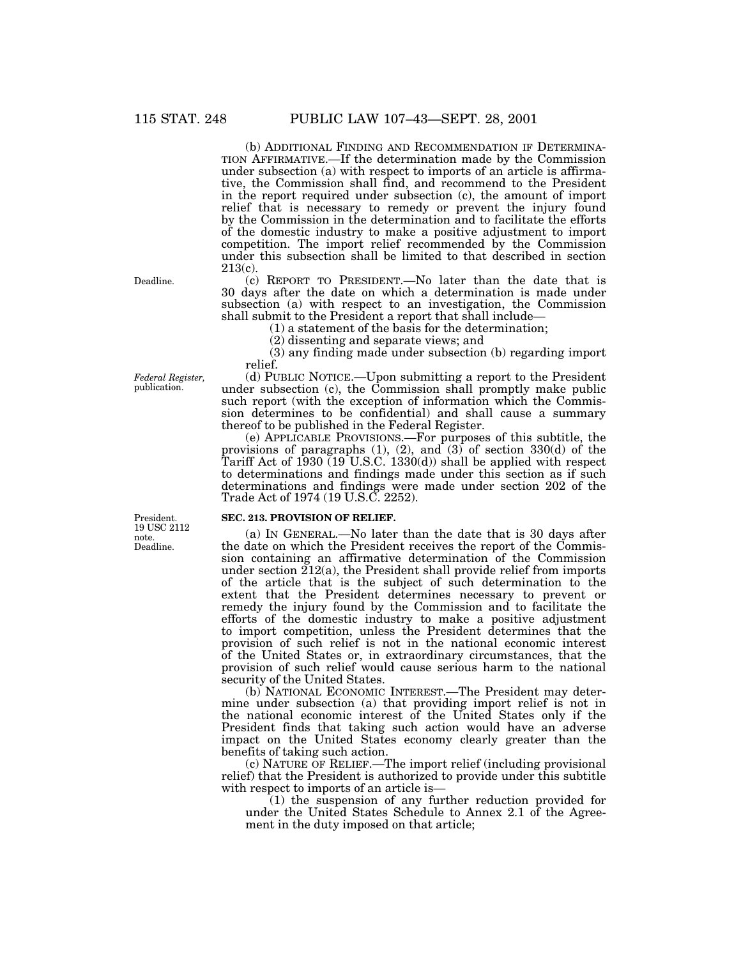(b) ADDITIONAL FINDING AND RECOMMENDATION IF DETERMINA- TION AFFIRMATIVE.—If the determination made by the Commission under subsection (a) with respect to imports of an article is affirmative, the Commission shall find, and recommend to the President in the report required under subsection (c), the amount of import relief that is necessary to remedy or prevent the injury found by the Commission in the determination and to facilitate the efforts of the domestic industry to make a positive adjustment to import competition. The import relief recommended by the Commission under this subsection shall be limited to that described in section 213(c).

(c) REPORT TO PRESIDENT.—No later than the date that is 30 days after the date on which a determination is made under subsection (a) with respect to an investigation, the Commission shall submit to the President a report that shall include— (1) a statement of the basis for the determination;

(2) dissenting and separate views; and

(3) any finding made under subsection (b) regarding import relief.

(d) PUBLIC NOTICE.—Upon submitting a report to the President under subsection (c), the Commission shall promptly make public such report (with the exception of information which the Commission determines to be confidential) and shall cause a summary thereof to be published in the Federal Register.

(e) APPLICABLE PROVISIONS.—For purposes of this subtitle, the provisions of paragraphs (1), (2), and (3) of section 330(d) of the Tariff Act of 1930 (19 U.S.C. 1330(d)) shall be applied with respect to determinations and findings made under this section as if such determinations and findings were made under section 202 of the Trade Act of 1974 (19 U.S.C. 2252).

#### **SEC. 213. PROVISION OF RELIEF.**

(a) IN GENERAL.—No later than the date that is 30 days after the date on which the President receives the report of the Commission containing an affirmative determination of the Commission under section  $212(a)$ , the President shall provide relief from imports of the article that is the subject of such determination to the extent that the President determines necessary to prevent or remedy the injury found by the Commission and to facilitate the efforts of the domestic industry to make a positive adjustment to import competition, unless the President determines that the provision of such relief is not in the national economic interest of the United States or, in extraordinary circumstances, that the provision of such relief would cause serious harm to the national security of the United States.

(b) NATIONAL ECONOMIC INTEREST.—The President may determine under subsection (a) that providing import relief is not in the national economic interest of the United States only if the President finds that taking such action would have an adverse impact on the United States economy clearly greater than the benefits of taking such action.

(c) NATURE OF RELIEF.—The import relief (including provisional relief) that the President is authorized to provide under this subtitle with respect to imports of an article is—

(1) the suspension of any further reduction provided for under the United States Schedule to Annex 2.1 of the Agreement in the duty imposed on that article;

Deadline.

*Federal Register,* publication.

Deadline. President. 19 USC 2112 note.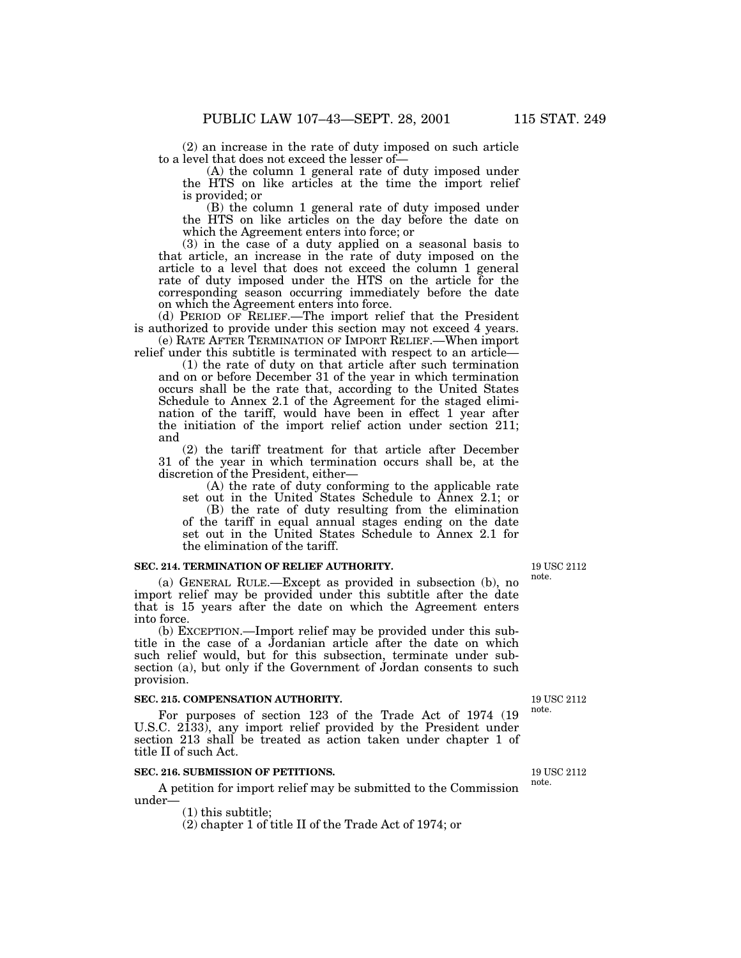$(2)$  an increase in the rate of duty imposed on such article to a level that does not exceed the lesser of-

 $(A)$  the column 1 general rate of duty imposed under the HTS on like articles at the time the import relief is provided; or

(B) the column 1 general rate of duty imposed under the HTS on like articles on the day before the date on which the Agreement enters into force; or

(3) in the case of a duty applied on a seasonal basis to that article, an increase in the rate of duty imposed on the article to a level that does not exceed the column 1 general rate of duty imposed under the HTS on the article for the corresponding season occurring immediately before the date on which the Agreement enters into force.

(d) PERIOD OF RELIEF.—The import relief that the President is authorized to provide under this section may not exceed 4 years. (e) RATE AFTER TERMINATION OF IMPORT RELIEF.—When import

relief under this subtitle is terminated with respect to an article— (1) the rate of duty on that article after such termination

and on or before December 31 of the year in which termination occurs shall be the rate that, according to the United States Schedule to Annex 2.1 of the Agreement for the staged elimination of the tariff, would have been in effect 1 year after the initiation of the import relief action under section 211; and

(2) the tariff treatment for that article after December 31 of the year in which termination occurs shall be, at the discretion of the President, either—

(A) the rate of duty conforming to the applicable rate set out in the United States Schedule to Annex 2.1; or

(B) the rate of duty resulting from the elimination of the tariff in equal annual stages ending on the date set out in the United States Schedule to Annex 2.1 for the elimination of the tariff.

### **SEC. 214. TERMINATION OF RELIEF AUTHORITY.**

(a) GENERAL RULE.—Except as provided in subsection (b), no import relief may be provided under this subtitle after the date that is 15 years after the date on which the Agreement enters into force.

(b) EXCEPTION.—Import relief may be provided under this subtitle in the case of a Jordanian article after the date on which such relief would, but for this subsection, terminate under subsection (a), but only if the Government of Jordan consents to such provision.

#### **SEC. 215. COMPENSATION AUTHORITY.**

For purposes of section 123 of the Trade Act of 1974 (19 U.S.C. 2133), any import relief provided by the President under section 213 shall be treated as action taken under chapter 1 of title II of such Act.

### **SEC. 216. SUBMISSION OF PETITIONS.**

A petition for import relief may be submitted to the Commission under—

(1) this subtitle;

(2) chapter 1 of title II of the Trade Act of 1974; or

19 USC 2112 note.

19 USC 2112 note.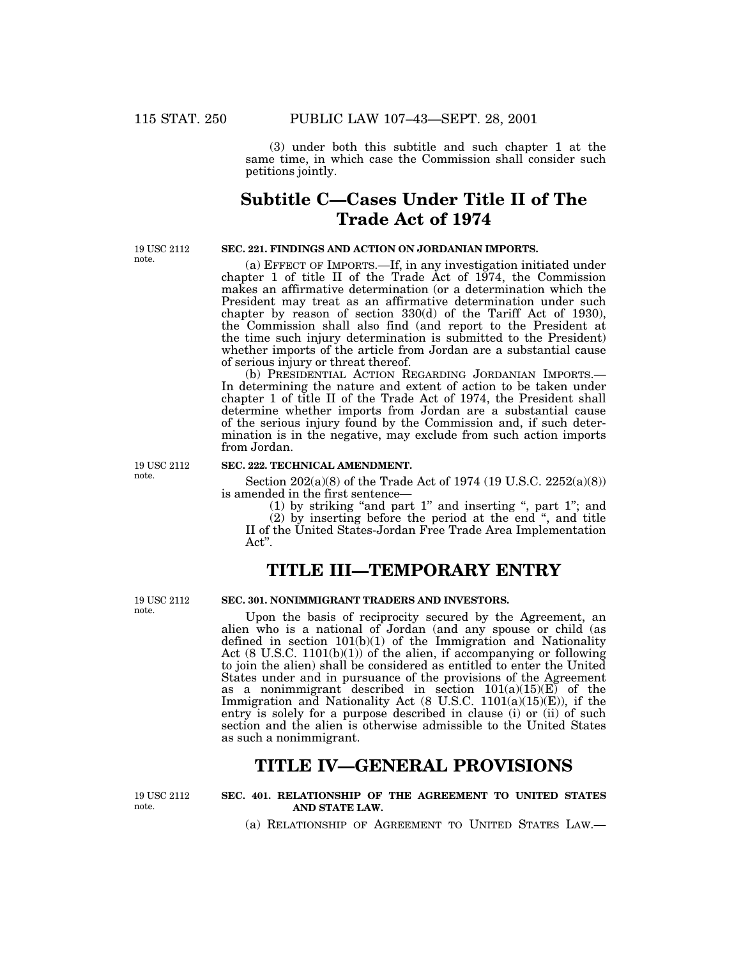(3) under both this subtitle and such chapter 1 at the same time, in which case the Commission shall consider such petitions jointly.

# **Subtitle C—Cases Under Title II of The Trade Act of 1974**

19 USC 2112 note.

### **SEC. 221. FINDINGS AND ACTION ON JORDANIAN IMPORTS.**

(a) EFFECT OF IMPORTS.—If, in any investigation initiated under chapter 1 of title II of the Trade Act of 1974, the Commission makes an affirmative determination (or a determination which the President may treat as an affirmative determination under such chapter by reason of section 330(d) of the Tariff Act of 1930), the Commission shall also find (and report to the President at the time such injury determination is submitted to the President) whether imports of the article from Jordan are a substantial cause of serious injury or threat thereof.

(b) PRESIDENTIAL ACTION REGARDING JORDANIAN IMPORTS.— In determining the nature and extent of action to be taken under chapter 1 of title II of the Trade Act of 1974, the President shall determine whether imports from Jordan are a substantial cause of the serious injury found by the Commission and, if such determination is in the negative, may exclude from such action imports from Jordan.

19 USC 2112 note.

## **SEC. 222. TECHNICAL AMENDMENT.**

Section 202(a)(8) of the Trade Act of 1974 (19 U.S.C. 2252(a)(8)) is amended in the first sentence—<br>(1) by striking "and part 1" and inserting ", part 1"; and

(2) by inserting before the period at the end '', and title II of the United States-Jordan Free Trade Area Implementation Act''.

# **TITLE III—TEMPORARY ENTRY**

19 USC 2112 note.

### **SEC. 301. NONIMMIGRANT TRADERS AND INVESTORS.**

Upon the basis of reciprocity secured by the Agreement, an alien who is a national of Jordan (and any spouse or child (as defined in section  $101(b)(1)$  of the Immigration and Nationality Act  $(8 \text{ U.S.C. } 1101(b)(1))$  of the alien, if accompanying or following to join the alien) shall be considered as entitled to enter the United States under and in pursuance of the provisions of the Agreement as a nonimmigrant described in section 101(a)(15)(E) of the Immigration and Nationality Act (8 U.S.C. 1101(a)(15)(E)), if the entry is solely for a purpose described in clause (i) or (ii) of such section and the alien is otherwise admissible to the United States as such a nonimmigrant.

# **TITLE IV—GENERAL PROVISIONS**

19 USC 2112 note.

### **SEC. 401. RELATIONSHIP OF THE AGREEMENT TO UNITED STATES AND STATE LAW.**

(a) RELATIONSHIP OF AGREEMENT TO UNITED STATES LAW.—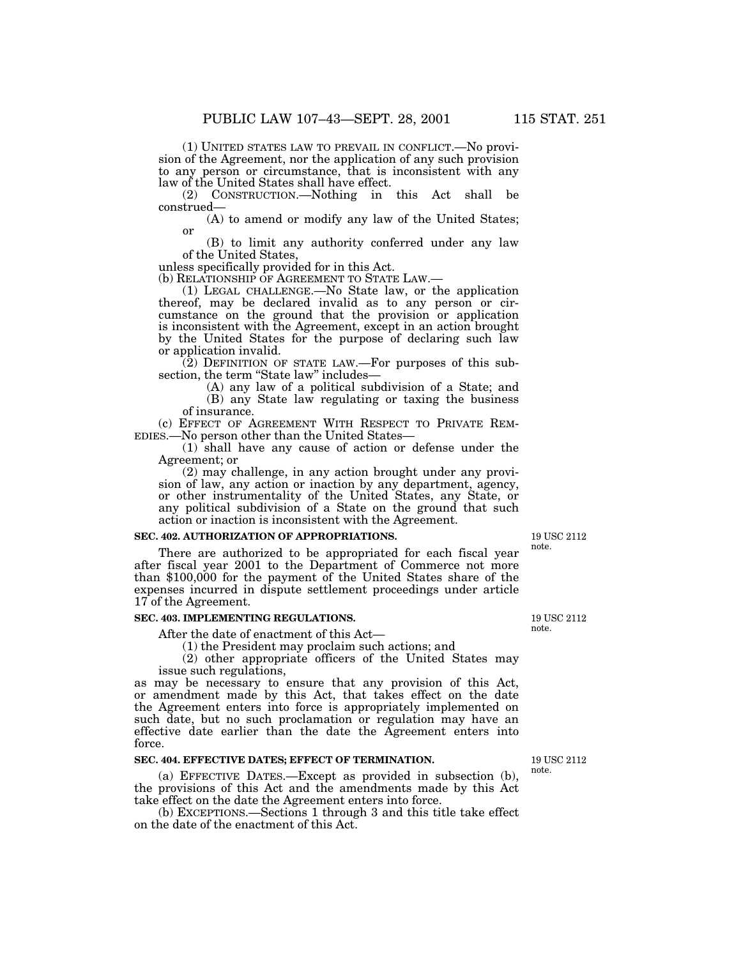(1) UNITED STATES LAW TO PREVAIL IN CONFLICT.—No provision of the Agreement, nor the application of any such provision to any person or circumstance, that is inconsistent with any law of the United States shall have effect.

(2) CONSTRUCTION.—Nothing in this Act shall be construed—

(A) to amend or modify any law of the United States; or

(B) to limit any authority conferred under any law of the United States,

unless specifically provided for in this Act.<br>(b) RELATIONSHIP OF AGREEMENT TO STATE LAW.—

 $(1)$  LEGAL CHALLENGE.—No State law, or the application thereof, may be declared invalid as to any person or circumstance on the ground that the provision or application is inconsistent with the Agreement, except in an action brought by the United States for the purpose of declaring such law or application invalid.

(2) DEFINITION OF STATE LAW.—For purposes of this subsection, the term "State law" includes—

 $(A)$  any law of a political subdivision of a State; and (B) any State law regulating or taxing the business

of insurance.

(c) EFFECT OF AGREEMENT WITH RESPECT TO PRIVATE REM-<br>EDIES.—No person other than the United States—<br>(1) shall have any cause of action or defense under the

Agreement; or

(2) may challenge, in any action brought under any provision of law, any action or inaction by any department, agency, or other instrumentality of the United States, any State, or any political subdivision of a State on the ground that such action or inaction is inconsistent with the Agreement.

#### **SEC. 402. AUTHORIZATION OF APPROPRIATIONS.**

There are authorized to be appropriated for each fiscal year after fiscal year 2001 to the Department of Commerce not more than \$100,000 for the payment of the United States share of the expenses incurred in dispute settlement proceedings under article 17 of the Agreement.

### **SEC. 403. IMPLEMENTING REGULATIONS.**

After the date of enactment of this Act— (1) the President may proclaim such actions; and

(2) other appropriate officers of the United States may issue such regulations,

as may be necessary to ensure that any provision of this Act, or amendment made by this Act, that takes effect on the date the Agreement enters into force is appropriately implemented on such date, but no such proclamation or regulation may have an effective date earlier than the date the Agreement enters into force.

#### **SEC. 404. EFFECTIVE DATES; EFFECT OF TERMINATION.**

(a) EFFECTIVE DATES.—Except as provided in subsection (b), the provisions of this Act and the amendments made by this Act take effect on the date the Agreement enters into force.

(b) EXCEPTIONS.—Sections 1 through 3 and this title take effect on the date of the enactment of this Act.

19 USC 2112 note.

19 USC 2112 note.